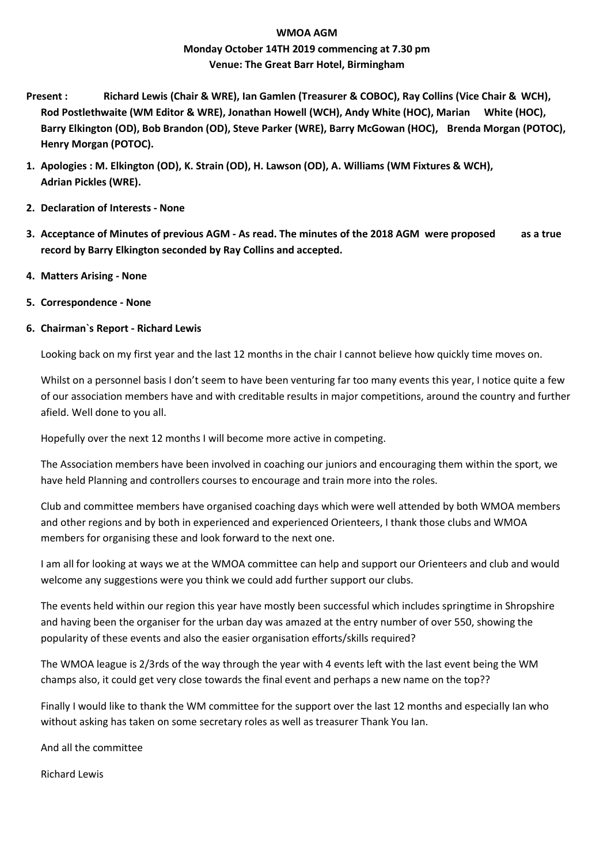# **WMOA AGM Monday October 14TH 2019 commencing at 7.30 pm Venue: The Great Barr Hotel, Birmingham**

- **Present : Richard Lewis (Chair & WRE), Ian Gamlen (Treasurer & COBOC), Ray Collins (Vice Chair & WCH), Rod Postlethwaite (WM Editor & WRE), Jonathan Howell (WCH), Andy White (HOC), Marian White (HOC), Barry Elkington (OD), Bob Brandon (OD), Steve Parker (WRE), Barry McGowan (HOC), Brenda Morgan (POTOC), Henry Morgan (POTOC).**
- **1. Apologies : M. Elkington (OD), K. Strain (OD), H. Lawson (OD), A. Williams (WM Fixtures & WCH), Adrian Pickles (WRE).**
- **2. Declaration of Interests - None**
- **3. Acceptance of Minutes of previous AGM - As read. The minutes of the 2018 AGM were proposed as a true record by Barry Elkington seconded by Ray Collins and accepted.**
- **4. Matters Arising - None**
- **5. Correspondence - None**

## **6. Chairman`s Report - Richard Lewis**

Looking back on my first year and the last 12 months in the chair I cannot believe how quickly time moves on.

Whilst on a personnel basis I don't seem to have been venturing far too many events this year, I notice quite a few of our association members have and with creditable results in major competitions, around the country and further afield. Well done to you all.

Hopefully over the next 12 months I will become more active in competing.

The Association members have been involved in coaching our juniors and encouraging them within the sport, we have held Planning and controllers courses to encourage and train more into the roles.

Club and committee members have organised coaching days which were well attended by both WMOA members and other regions and by both in experienced and experienced Orienteers, I thank those clubs and WMOA members for organising these and look forward to the next one.

I am all for looking at ways we at the WMOA committee can help and support our Orienteers and club and would welcome any suggestions were you think we could add further support our clubs.

The events held within our region this year have mostly been successful which includes springtime in Shropshire and having been the organiser for the urban day was amazed at the entry number of over 550, showing the popularity of these events and also the easier organisation efforts/skills required?

The WMOA league is 2/3rds of the way through the year with 4 events left with the last event being the WM champs also, it could get very close towards the final event and perhaps a new name on the top??

Finally I would like to thank the WM committee for the support over the last 12 months and especially Ian who without asking has taken on some secretary roles as well as treasurer Thank You Ian.

And all the committee

Richard Lewis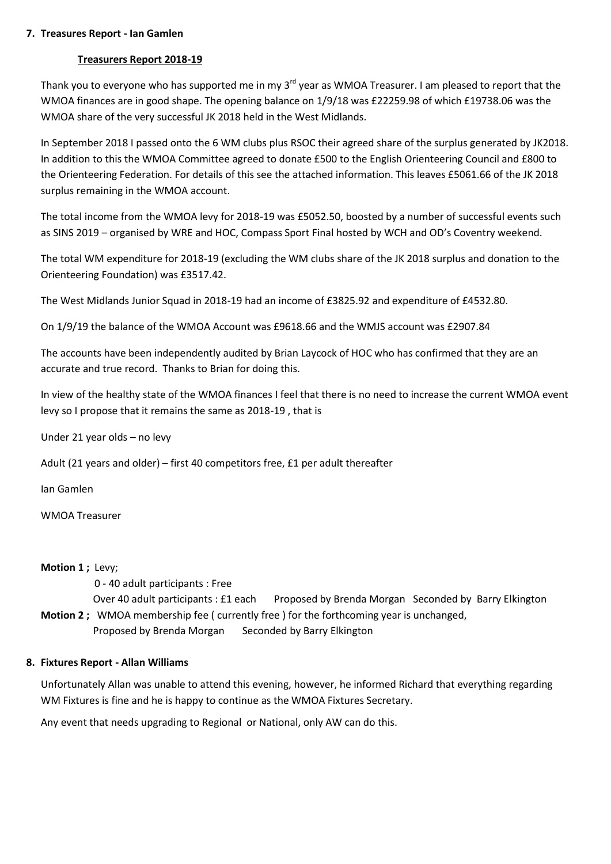#### **7. Treasures Report - Ian Gamlen**

### **Treasurers Report 2018-19**

Thank you to everyone who has supported me in my 3<sup>rd</sup> year as WMOA Treasurer. I am pleased to report that the WMOA finances are in good shape. The opening balance on 1/9/18 was £22259.98 of which £19738.06 was the WMOA share of the very successful JK 2018 held in the West Midlands.

In September 2018 I passed onto the 6 WM clubs plus RSOC their agreed share of the surplus generated by JK2018. In addition to this the WMOA Committee agreed to donate £500 to the English Orienteering Council and £800 to the Orienteering Federation. For details of this see the attached information. This leaves £5061.66 of the JK 2018 surplus remaining in the WMOA account.

The total income from the WMOA levy for 2018-19 was £5052.50, boosted by a number of successful events such as SINS 2019 – organised by WRE and HOC, Compass Sport Final hosted by WCH and OD's Coventry weekend.

The total WM expenditure for 2018-19 (excluding the WM clubs share of the JK 2018 surplus and donation to the Orienteering Foundation) was £3517.42.

The West Midlands Junior Squad in 2018-19 had an income of £3825.92 and expenditure of £4532.80.

On 1/9/19 the balance of the WMOA Account was £9618.66 and the WMJS account was £2907.84

The accounts have been independently audited by Brian Laycock of HOC who has confirmed that they are an accurate and true record. Thanks to Brian for doing this.

In view of the healthy state of the WMOA finances I feel that there is no need to increase the current WMOA event levy so I propose that it remains the same as 2018-19 , that is

Under 21 year olds – no levy

Adult (21 years and older) – first 40 competitors free, £1 per adult thereafter

Ian Gamlen

WMOA Treasurer

**Motion 1 ;** Levy;

0 - 40 adult participants : Free

 Over 40 adult participants : £1 each Proposed by Brenda Morgan Seconded by Barry Elkington **Motion 2** ; WMOA membership fee ( currently free ) for the forthcoming year is unchanged,

Proposed by Brenda Morgan Seconded by Barry Elkington

## **8. Fixtures Report - Allan Williams**

Unfortunately Allan was unable to attend this evening, however, he informed Richard that everything regarding WM Fixtures is fine and he is happy to continue as the WMOA Fixtures Secretary.

Any event that needs upgrading to Regional or National, only AW can do this.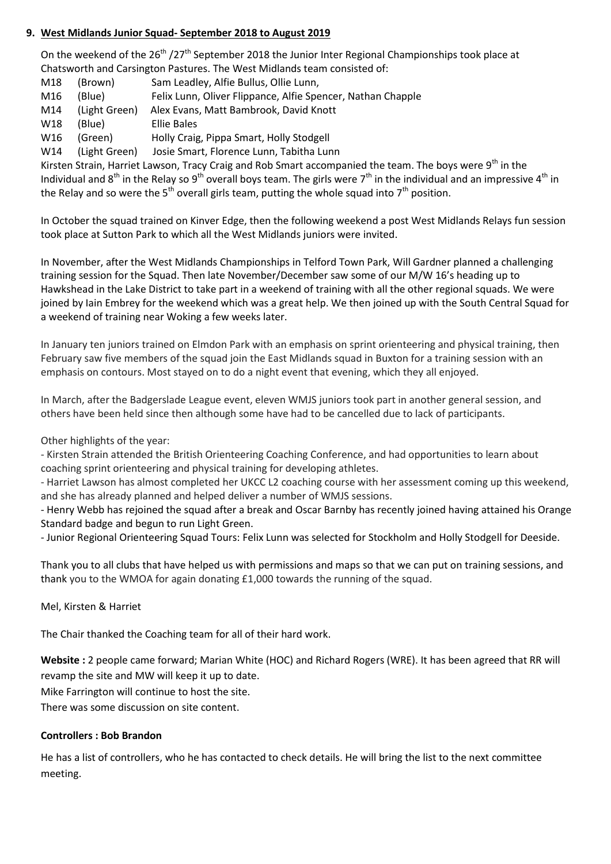## **9. West Midlands Junior Squad- September 2018 to August 2019**

On the weekend of the 26<sup>th</sup> /27<sup>th</sup> September 2018 the Junior Inter Regional Championships took place at Chatsworth and Carsington Pastures. The West Midlands team consisted of:

- M18 (Brown) Sam Leadley, Alfie Bullus, Ollie Lunn,
- M16 (Blue) Felix Lunn, Oliver Flippance, Alfie Spencer, Nathan Chapple
- M14 (Light Green) Alex Evans, Matt Bambrook, David Knott
- W18 (Blue) Ellie Bales
- W16 (Green) Holly Craig, Pippa Smart, Holly Stodgell
- W14 (Light Green) Josie Smart, Florence Lunn, Tabitha Lunn

Kirsten Strain, Harriet Lawson, Tracy Craig and Rob Smart accompanied the team. The boys were 9<sup>th</sup> in the Individual and 8<sup>th</sup> in the Relay so 9<sup>th</sup> overall boys team. The girls were 7<sup>th</sup> in the individual and an impressive 4<sup>th</sup> in the Relay and so were the 5<sup>th</sup> overall girls team, putting the whole squad into 7<sup>th</sup> position.

In October the squad trained on Kinver Edge, then the following weekend a post West Midlands Relays fun session took place at Sutton Park to which all the West Midlands juniors were invited.

In November, after the West Midlands Championships in Telford Town Park, Will Gardner planned a challenging training session for the Squad. Then late November/December saw some of our M/W 16's heading up to Hawkshead in the Lake District to take part in a weekend of training with all the other regional squads. We were joined by Iain Embrey for the weekend which was a great help. We then joined up with the South Central Squad for a weekend of training near Woking a few weeks later.

In January ten juniors trained on Elmdon Park with an emphasis on sprint orienteering and physical training, then February saw five members of the squad join the East Midlands squad in Buxton for a training session with an emphasis on contours. Most stayed on to do a night event that evening, which they all enjoyed.

In March, after the Badgerslade League event, eleven WMJS juniors took part in another general session, and others have been held since then although some have had to be cancelled due to lack of participants.

## Other highlights of the year:

- Kirsten Strain attended the British Orienteering Coaching Conference, and had opportunities to learn about coaching sprint orienteering and physical training for developing athletes.

- Harriet Lawson has almost completed her UKCC L2 coaching course with her assessment coming up this weekend, and she has already planned and helped deliver a number of WMJS sessions.

- Henry Webb has rejoined the squad after a break and Oscar Barnby has recently joined having attained his Orange Standard badge and begun to run Light Green.

- Junior Regional Orienteering Squad Tours: Felix Lunn was selected for Stockholm and Holly Stodgell for Deeside.

Thank you to all clubs that have helped us with permissions and maps so that we can put on training sessions, and thank you to the WMOA for again donating £1,000 towards the running of the squad.

Mel, Kirsten & Harriet

The Chair thanked the Coaching team for all of their hard work.

**Website :** 2 people came forward; Marian White (HOC) and Richard Rogers (WRE). It has been agreed that RR will revamp the site and MW will keep it up to date.

Mike Farrington will continue to host the site.

There was some discussion on site content.

#### **Controllers : Bob Brandon**

He has a list of controllers, who he has contacted to check details. He will bring the list to the next committee meeting.